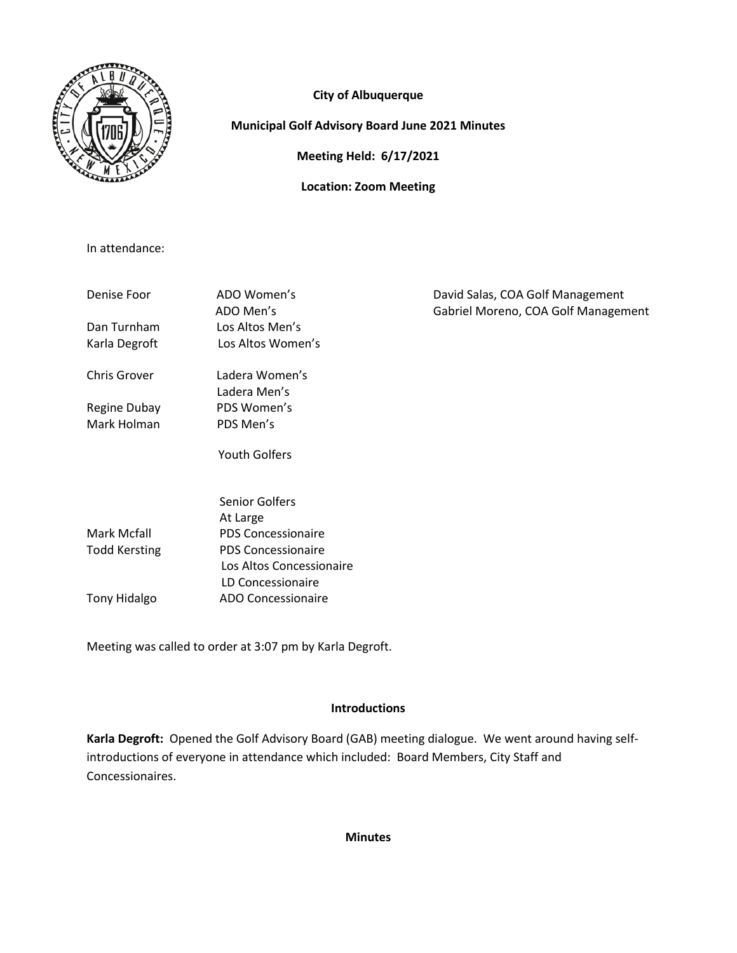

# **City of Albuquerque**

## **Municipal Golf Advisory Board June 2021 Minutes**

**Meeting Held: 6/17/2021**

**Location: Zoom Meeting**

In attendance:

| Denise Foor          | ADO Women's<br>ADO Men's  | David Salas, COA Golf Management<br>Gabriel Moreno, COA Golf Management |
|----------------------|---------------------------|-------------------------------------------------------------------------|
| Dan Turnham          | Los Altos Men's           |                                                                         |
| Karla Degroft        | Los Altos Women's         |                                                                         |
| <b>Chris Grover</b>  | Ladera Women's            |                                                                         |
|                      | Ladera Men's              |                                                                         |
| Regine Dubay         | PDS Women's               |                                                                         |
| Mark Holman          | PDS Men's                 |                                                                         |
|                      | <b>Youth Golfers</b>      |                                                                         |
|                      | Senior Golfers            |                                                                         |
|                      | At Large                  |                                                                         |
| Mark Mcfall          | <b>PDS Concessionaire</b> |                                                                         |
| <b>Todd Kersting</b> | <b>PDS Concessionaire</b> |                                                                         |
|                      | Los Altos Concessionaire  |                                                                         |
|                      | LD Concessionaire         |                                                                         |

Tony Hidalgo ADO Concessionaire

Meeting was called to order at 3:07 pm by Karla Degroft.

## **Introductions**

**Karla Degroft:** Opened the Golf Advisory Board (GAB) meeting dialogue. We went around having selfintroductions of everyone in attendance which included: Board Members, City Staff and Concessionaires.

### **Minutes**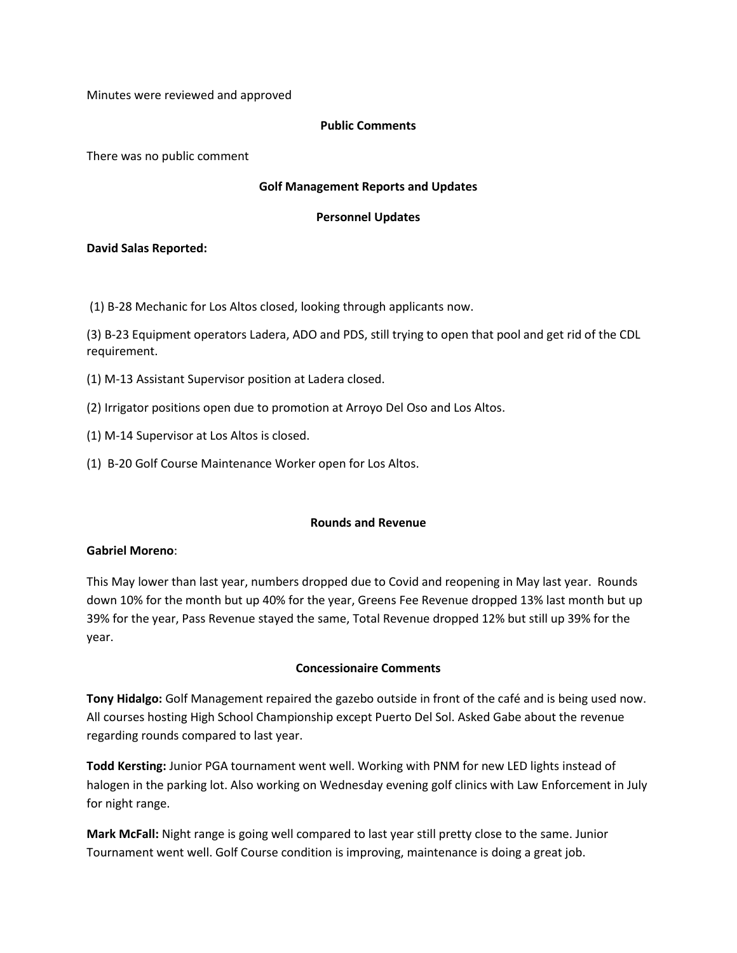Minutes were reviewed and approved

### **Public Comments**

There was no public comment

### **Golf Management Reports and Updates**

### **Personnel Updates**

### **David Salas Reported:**

(1) B-28 Mechanic for Los Altos closed, looking through applicants now.

(3) B-23 Equipment operators Ladera, ADO and PDS, still trying to open that pool and get rid of the CDL requirement.

- (1) M-13 Assistant Supervisor position at Ladera closed.
- (2) Irrigator positions open due to promotion at Arroyo Del Oso and Los Altos.
- (1) M-14 Supervisor at Los Altos is closed.
- (1) B-20 Golf Course Maintenance Worker open for Los Altos.

### **Rounds and Revenue**

#### **Gabriel Moreno**:

This May lower than last year, numbers dropped due to Covid and reopening in May last year. Rounds down 10% for the month but up 40% for the year, Greens Fee Revenue dropped 13% last month but up 39% for the year, Pass Revenue stayed the same, Total Revenue dropped 12% but still up 39% for the year.

### **Concessionaire Comments**

**Tony Hidalgo:** Golf Management repaired the gazebo outside in front of the café and is being used now. All courses hosting High School Championship except Puerto Del Sol. Asked Gabe about the revenue regarding rounds compared to last year.

**Todd Kersting:** Junior PGA tournament went well. Working with PNM for new LED lights instead of halogen in the parking lot. Also working on Wednesday evening golf clinics with Law Enforcement in July for night range.

**Mark McFall:** Night range is going well compared to last year still pretty close to the same. Junior Tournament went well. Golf Course condition is improving, maintenance is doing a great job.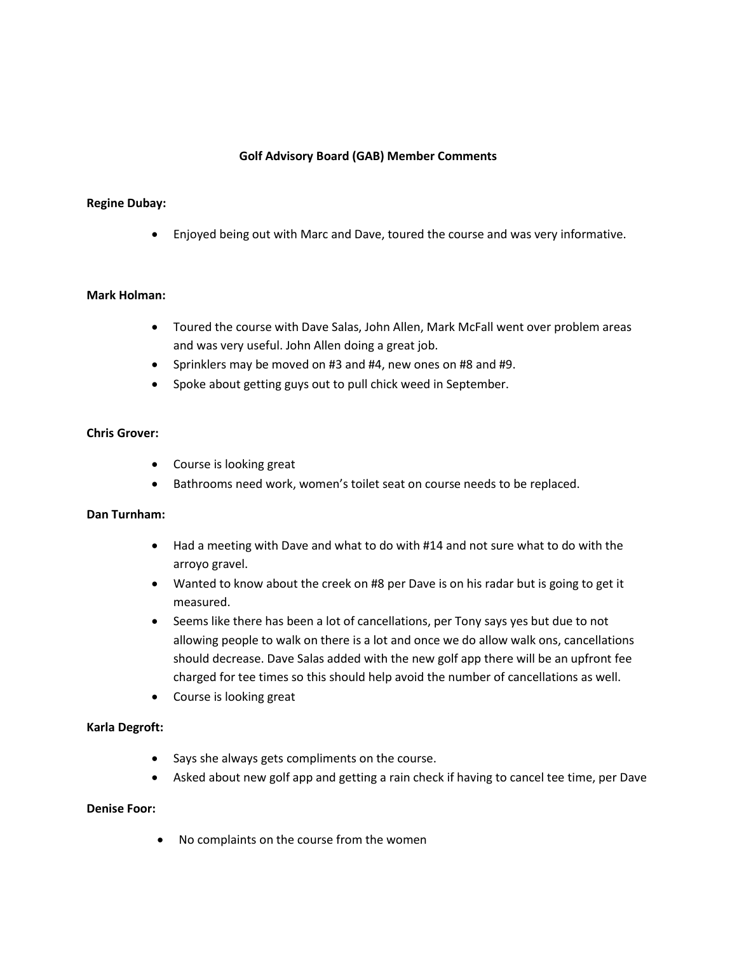### **Golf Advisory Board (GAB) Member Comments**

### **Regine Dubay:**

• Enjoyed being out with Marc and Dave, toured the course and was very informative.

### **Mark Holman:**

- Toured the course with Dave Salas, John Allen, Mark McFall went over problem areas and was very useful. John Allen doing a great job.
- Sprinklers may be moved on #3 and #4, new ones on #8 and #9.
- Spoke about getting guys out to pull chick weed in September.

### **Chris Grover:**

- Course is looking great
- Bathrooms need work, women's toilet seat on course needs to be replaced.

#### **Dan Turnham:**

- Had a meeting with Dave and what to do with #14 and not sure what to do with the arroyo gravel.
- Wanted to know about the creek on #8 per Dave is on his radar but is going to get it measured.
- Seems like there has been a lot of cancellations, per Tony says yes but due to not allowing people to walk on there is a lot and once we do allow walk ons, cancellations should decrease. Dave Salas added with the new golf app there will be an upfront fee charged for tee times so this should help avoid the number of cancellations as well.
- Course is looking great

### **Karla Degroft:**

- Says she always gets compliments on the course.
- Asked about new golf app and getting a rain check if having to cancel tee time, per Dave

### **Denise Foor:**

• No complaints on the course from the women